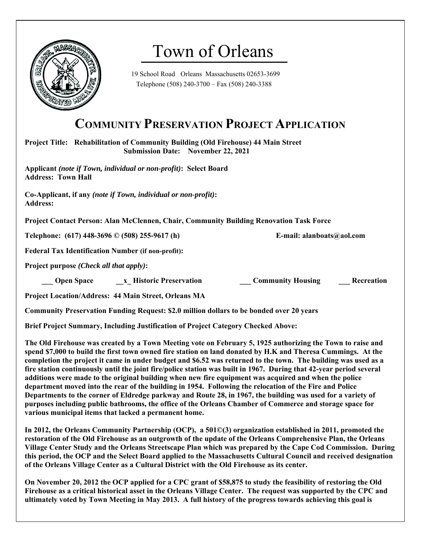

# Town of Orleans

19 School Road Orleans Massachusetts 02653-3699 Telephone (508) 240-3700 – Fax (508) 240-3388

# **COMMUNITY PRESERVATION PROJECT APPLICATION**

**Project Title: Rehabilitation of Community Building (Old Firehouse) 44 Main Street Submission Date: November 22, 2021** 

**Applicant** *(note if Town, individual or non-profit)***: Select Board Address: Town Hall** 

**Co-Applicant, if any** *(note if Town, individual or non-profit)***: Address:** 

**Project Contact Person: Alan McClennen, Chair, Community Building Renovation Task Force** 

**Telephone: (617) 448-3696 © (508) 255-9617 (h) E-mail: alanboats@aol.com** 

**Federal Tax Identification Number (if non-profit):** 

**Project purpose** *(Check all that apply)***:** 

 **Community Housing 5 are Space 2.1 Aristoric Preservation 2.1 Community Housing 2.1 Recreation** 

**Project Location/Address: 44 Main Street, Orleans MA** 

**Community Preservation Funding Request: \$2.0 million dollars to be bonded over 20 years** 

**Brief Project Summary, Including Justification of Project Category Checked Above:** 

**The Old Firehouse was created by a Town Meeting vote on February 5, 1925 authorizing the Town to raise and spend \$7,000 to build the first town owned fire station on land donated by H.K and Theresa Cummings. At the completion the project it came in under budget and \$6.52 was returned to the town. The building was used as a fire station continuously until the joint fire/police station was built in 1967. During that 42-year period several additions were made to the original building when new fire equipment was acquired and when the police department moved into the rear of the building in 1954. Following the relocation of the Fire and Police Departments to the corner of Eldredge parkway and Route 28, in 1967, the building was used for a variety of purposes including public bathrooms, the office of the Orleans Chamber of Commerce and storage space for various municipal items that lacked a permanent home.** 

**In 2012, the Orleans Community Partnership (OCP), a 501©(3) organization established in 2011, promoted the restoration of the Old Firehouse as an outgrowth of the update of the Orleans Comprehensive Plan, the Orleans Village Center Study and the Orleans Streetscape Plan which was prepared by the Cape Cod Commission. During this period, the OCP and the Select Board applied to the Massachusetts Cultural Council and received designation of the Orleans Village Center as a Cultural District with the Old Firehouse as its center.** 

**On November 20, 2012 the OCP applied for a CPC grant of \$58,875 to study the feasibility of restoring the Old Firehouse as a critical historical asset in the Orleans Village Center. The request was supported by the CPC and ultimately voted by Town Meeting in May 2013. A full history of the progress towards achieving this goal is**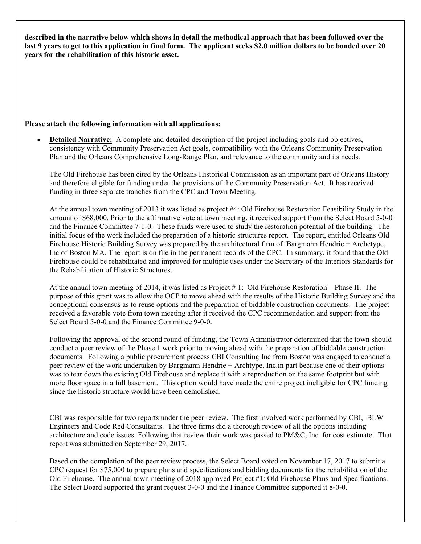**described in the narrative below which shows in detail the methodical approach that has been followed over the last 9 years to get to this application in final form. The applicant seeks \$2.0 million dollars to be bonded over 20 years for the rehabilitation of this historic asset.** 

#### **Please attach the following information with all applications:**

 **Detailed Narrative:** A complete and detailed description of the project including goals and objectives, consistency with Community Preservation Act goals, compatibility with the Orleans Community Preservation Plan and the Orleans Comprehensive Long-Range Plan, and relevance to the community and its needs.

The Old Firehouse has been cited by the Orleans Historical Commission as an important part of Orleans History and therefore eligible for funding under the provisions of the Community Preservation Act. It has received funding in three separate tranches from the CPC and Town Meeting.

At the annual town meeting of 2013 it was listed as project #4: Old Firehouse Restoration Feasibility Study in the amount of \$68,000. Prior to the affirmative vote at town meeting, it received support from the Select Board 5-0-0 and the Finance Committee 7-1-0. These funds were used to study the restoration potential of the building. The initial focus of the work included the preparation of a historic structures report. The report, entitled Orleans Old Firehouse Historic Building Survey was prepared by the architectural firm of Bargmann Hendrie + Archetype, Inc of Boston MA. The report is on file in the permanent records of the CPC. In summary, it found that the Old Firehouse could be rehabilitated and improved for multiple uses under the Secretary of the Interiors Standards for the Rehabilitation of Historic Structures.

At the annual town meeting of 2014, it was listed as Project # 1: Old Firehouse Restoration – Phase II. The purpose of this grant was to allow the OCP to move ahead with the results of the Historic Building Survey and the conceptional consensus as to reuse options and the preparation of biddable construction documents. The project received a favorable vote from town meeting after it received the CPC recommendation and support from the Select Board 5-0-0 and the Finance Committee 9-0-0.

Following the approval of the second round of funding, the Town Administrator determined that the town should conduct a peer review of the Phase 1 work prior to moving ahead with the preparation of biddable construction documents. Following a public procurement process CBI Consulting Inc from Boston was engaged to conduct a peer review of the work undertaken by Bargmann Hendrie + Archtype, Inc.in part because one of their options was to tear down the existing Old Firehouse and replace it with a reproduction on the same footprint but with more floor space in a full basement. This option would have made the entire project ineligible for CPC funding since the historic structure would have been demolished.

CBI was responsible for two reports under the peer review. The first involved work performed by CBI, BLW Engineers and Code Red Consultants. The three firms did a thorough review of all the options including architecture and code issues. Following that review their work was passed to PM&C, Inc for cost estimate. That report was submitted on September 29, 2017.

Based on the completion of the peer review process, the Select Board voted on November 17, 2017 to submit a CPC request for \$75,000 to prepare plans and specifications and bidding documents for the rehabilitation of the Old Firehouse. The annual town meeting of 2018 approved Project #1: Old Firehouse Plans and Specifications. The Select Board supported the grant request 3-0-0 and the Finance Committee supported it 8-0-0.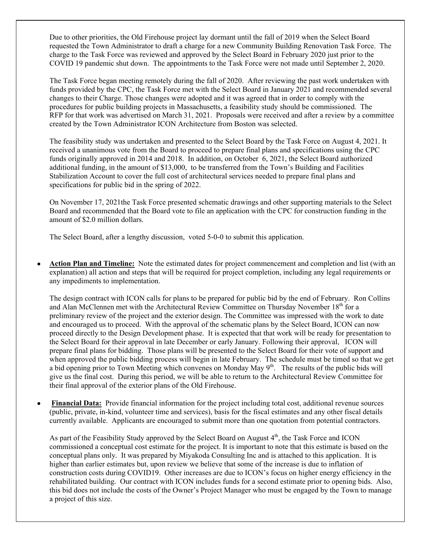Due to other priorities, the Old Firehouse project lay dormant until the fall of 2019 when the Select Board requested the Town Administrator to draft a charge for a new Community Building Renovation Task Force. The charge to the Task Force was reviewed and approved by the Select Board in February 2020 just prior to the COVID 19 pandemic shut down. The appointments to the Task Force were not made until September 2, 2020.

The Task Force began meeting remotely during the fall of 2020. After reviewing the past work undertaken with funds provided by the CPC, the Task Force met with the Select Board in January 2021 and recommended several changes to their Charge. Those changes were adopted and it was agreed that in order to comply with the procedures for public building projects in Massachusetts, a feasibility study should be commissioned. The RFP for that work was advertised on March 31, 2021. Proposals were received and after a review by a committee created by the Town Administrator ICON Architecture from Boston was selected.

The feasibility study was undertaken and presented to the Select Board by the Task Force on August 4, 2021. It received a unanimous vote from the Board to proceed to prepare final plans and specifications using the CPC funds originally approved in 2014 and 2018. In addition, on October 6, 2021, the Select Board authorized additional funding, in the amount of \$13,000, to be transferred from the Town's Building and Facilities Stabilization Account to cover the full cost of architectural services needed to prepare final plans and specifications for public bid in the spring of 2022.

On November 17, 2021the Task Force presented schematic drawings and other supporting materials to the Select Board and recommended that the Board vote to file an application with the CPC for construction funding in the amount of \$2.0 million dollars.

The Select Board, after a lengthy discussion, voted 5-0-0 to submit this application.

 **Action Plan and Timeline:** Note the estimated dates for project commencement and completion and list (with an explanation) all action and steps that will be required for project completion, including any legal requirements or any impediments to implementation.

The design contract with ICON calls for plans to be prepared for public bid by the end of February. Ron Collins and Alan McClennen met with the Architectural Review Committee on Thursday November 18th for a preliminary review of the project and the exterior design. The Committee was impressed with the work to date and encouraged us to proceed. With the approval of the schematic plans by the Select Board, ICON can now proceed directly to the Design Development phase. It is expected that that work will be ready for presentation to the Select Board for their approval in late December or early January. Following their approval, ICON will prepare final plans for bidding. Those plans will be presented to the Select Board for their vote of support and when approved the public bidding process will begin in late February. The schedule must be timed so that we get a bid opening prior to Town Meeting which convenes on Monday May 9<sup>th</sup>. The results of the public bids will give us the final cost. During this period, we will be able to return to the Architectural Review Committee for their final approval of the exterior plans of the Old Firehouse.

 **Financial Data:** Provide financial information for the project including total cost, additional revenue sources (public, private, in-kind, volunteer time and services), basis for the fiscal estimates and any other fiscal details currently available. Applicants are encouraged to submit more than one quotation from potential contractors.

As part of the Feasibility Study approved by the Select Board on August  $4<sup>th</sup>$ , the Task Force and ICON commissioned a conceptual cost estimate for the project. It is important to note that this estimate is based on the conceptual plans only. It was prepared by Miyakoda Consulting Inc and is attached to this application. It is higher than earlier estimates but, upon review we believe that some of the increase is due to inflation of construction costs during COVID19. Other increases are due to ICON's focus on higher energy efficiency in the rehabilitated building. Our contract with ICON includes funds for a second estimate prior to opening bids. Also, this bid does not include the costs of the Owner's Project Manager who must be engaged by the Town to manage a project of this size.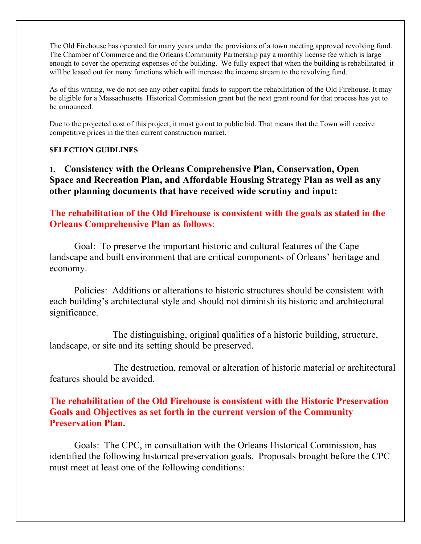The Old Firehouse has operated for many years under the provisions of a town meeting approved revolving fund. The Chamber of Commerce and the Orleans Community Partnership pay a monthly license fee which is large enough to cover the operating expenses of the building. We fully expect that when the building is rehabilitated it will be leased out for many functions which will increase the income stream to the revolving fund.

As of this writing, we do not see any other capital funds to support the rehabilitation of the Old Firehouse. It may be eligible for a Massachusetts Historical Commission grant but the next grant round for that process has yet to be announced.

Due to the projected cost of this project, it must go out to public bid. That means that the Town will receive competitive prices in the then current construction market.

#### **SELECTION GUIDLINES**

**1. Consistency with the Orleans Comprehensive Plan, Conservation, Open Space and Recreation Plan, and Affordable Housing Strategy Plan as well as any other planning documents that have received wide scrutiny and input:** 

**The rehabilitation of the Old Firehouse is consistent with the goals as stated in the Orleans Comprehensive Plan as follows**:

 Goal: To preserve the important historic and cultural features of the Cape landscape and built environment that are critical components of Orleans' heritage and economy.

 Policies: Additions or alterations to historic structures should be consistent with each building's architectural style and should not diminish its historic and architectural significance.

 The distinguishing, original qualities of a historic building, structure, landscape, or site and its setting should be preserved.

 The destruction, removal or alteration of historic material or architectural features should be avoided.

#### **The rehabilitation of the Old Firehouse is consistent with the Historic Preservation Goals and Objectives as set forth in the current version of the Community Preservation Plan.**

 Goals: The CPC, in consultation with the Orleans Historical Commission, has identified the following historical preservation goals. Proposals brought before the CPC must meet at least one of the following conditions: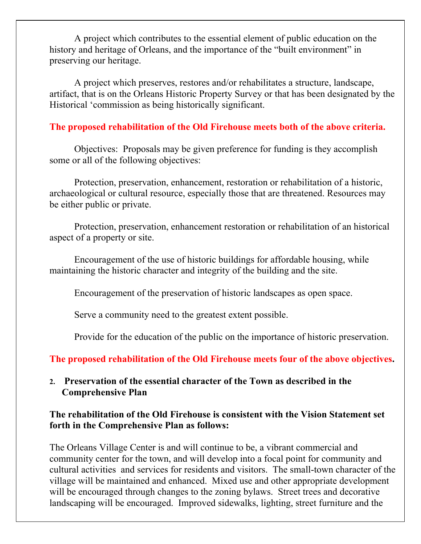A project which contributes to the essential element of public education on the history and heritage of Orleans, and the importance of the "built environment" in preserving our heritage.

 A project which preserves, restores and/or rehabilitates a structure, landscape, artifact, that is on the Orleans Historic Property Survey or that has been designated by the Historical 'commission as being historically significant.

### **The proposed rehabilitation of the Old Firehouse meets both of the above criteria.**

 Objectives: Proposals may be given preference for funding is they accomplish some or all of the following objectives:

 Protection, preservation, enhancement, restoration or rehabilitation of a historic, archaeological or cultural resource, especially those that are threatened. Resources may be either public or private.

 Protection, preservation, enhancement restoration or rehabilitation of an historical aspect of a property or site.

 Encouragement of the use of historic buildings for affordable housing, while maintaining the historic character and integrity of the building and the site.

Encouragement of the preservation of historic landscapes as open space.

Serve a community need to the greatest extent possible.

Provide for the education of the public on the importance of historic preservation.

**The proposed rehabilitation of the Old Firehouse meets four of the above objectives.** 

## **2. Preservation of the essential character of the Town as described in the Comprehensive Plan**

## **The rehabilitation of the Old Firehouse is consistent with the Vision Statement set forth in the Comprehensive Plan as follows:**

The Orleans Village Center is and will continue to be, a vibrant commercial and community center for the town, and will develop into a focal point for community and cultural activities and services for residents and visitors. The small-town character of the village will be maintained and enhanced. Mixed use and other appropriate development will be encouraged through changes to the zoning bylaws. Street trees and decorative landscaping will be encouraged. Improved sidewalks, lighting, street furniture and the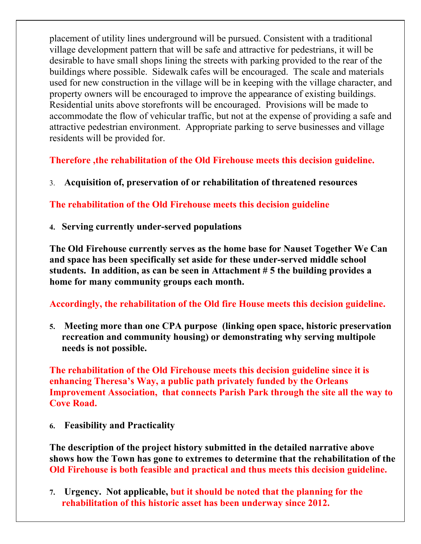placement of utility lines underground will be pursued. Consistent with a traditional village development pattern that will be safe and attractive for pedestrians, it will be desirable to have small shops lining the streets with parking provided to the rear of the buildings where possible. Sidewalk cafes will be encouraged. The scale and materials used for new construction in the village will be in keeping with the village character, and property owners will be encouraged to improve the appearance of existing buildings. Residential units above storefronts will be encouraged. Provisions will be made to accommodate the flow of vehicular traffic, but not at the expense of providing a safe and attractive pedestrian environment. Appropriate parking to serve businesses and village residents will be provided for.

**Therefore ,the rehabilitation of the Old Firehouse meets this decision guideline.** 

3. **Acquisition of, preservation of or rehabilitation of threatened resources**

**The rehabilitation of the Old Firehouse meets this decision guideline** 

**4. Serving currently under-served populations** 

**The Old Firehouse currently serves as the home base for Nauset Together We Can and space has been specifically set aside for these under-served middle school students. In addition, as can be seen in Attachment # 5 the building provides a home for many community groups each month.** 

**Accordingly, the rehabilitation of the Old fire House meets this decision guideline.** 

**5. Meeting more than one CPA purpose (linking open space, historic preservation recreation and community housing) or demonstrating why serving multipole needs is not possible.** 

**The rehabilitation of the Old Firehouse meets this decision guideline since it is enhancing Theresa's Way, a public path privately funded by the Orleans Improvement Association, that connects Parish Park through the site all the way to Cove Road.** 

**6. Feasibility and Practicality** 

**The description of the project history submitted in the detailed narrative above shows how the Town has gone to extremes to determine that the rehabilitation of the Old Firehouse is both feasible and practical and thus meets this decision guideline.** 

**7. Urgency. Not applicable, but it should be noted that the planning for the rehabilitation of this historic asset has been underway since 2012.**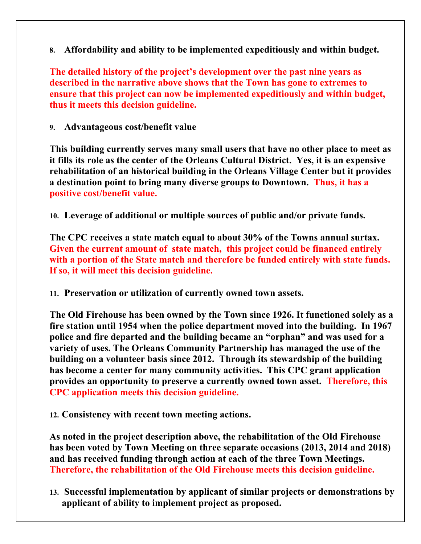**8. Affordability and ability to be implemented expeditiously and within budget.** 

**The detailed history of the project's development over the past nine years as described in the narrative above shows that the Town has gone to extremes to ensure that this project can now be implemented expeditiously and within budget, thus it meets this decision guideline.** 

**9. Advantageous cost/benefit value** 

**This building currently serves many small users that have no other place to meet as it fills its role as the center of the Orleans Cultural District. Yes, it is an expensive rehabilitation of an historical building in the Orleans Village Center but it provides a destination point to bring many diverse groups to Downtown. Thus, it has a positive cost/benefit value.** 

**10. Leverage of additional or multiple sources of public and/or private funds.** 

**The CPC receives a state match equal to about 30% of the Towns annual surtax. Given the current amount of state match, this project could be financed entirely with a portion of the State match and therefore be funded entirely with state funds. If so, it will meet this decision guideline.** 

**11. Preservation or utilization of currently owned town assets.** 

**The Old Firehouse has been owned by the Town since 1926. It functioned solely as a fire station until 1954 when the police department moved into the building. In 1967 police and fire departed and the building became an "orphan" and was used for a variety of uses. The Orleans Community Partnership has managed the use of the building on a volunteer basis since 2012. Through its stewardship of the building has become a center for many community activities. This CPC grant application provides an opportunity to preserve a currently owned town asset. Therefore, this CPC application meets this decision guideline.** 

**12. Consistency with recent town meeting actions.** 

**As noted in the project description above, the rehabilitation of the Old Firehouse has been voted by Town Meeting on three separate occasions (2013, 2014 and 2018) and has received funding through action at each of the three Town Meetings. Therefore, the rehabilitation of the Old Firehouse meets this decision guideline.** 

**13. Successful implementation by applicant of similar projects or demonstrations by applicant of ability to implement project as proposed.**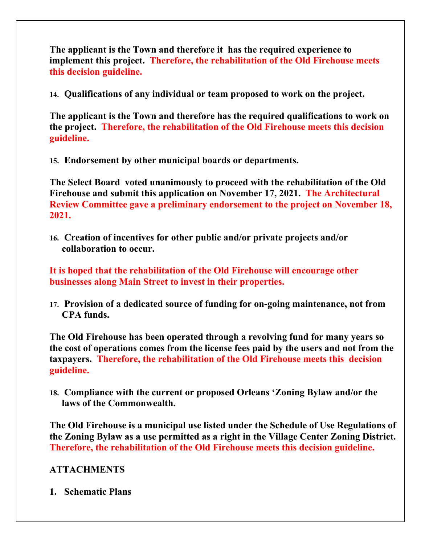**The applicant is the Town and therefore it has the required experience to implement this project. Therefore, the rehabilitation of the Old Firehouse meets this decision guideline.** 

**14. Qualifications of any individual or team proposed to work on the project.** 

**The applicant is the Town and therefore has the required qualifications to work on the project. Therefore, the rehabilitation of the Old Firehouse meets this decision guideline.** 

**15. Endorsement by other municipal boards or departments.** 

**The Select Board voted unanimously to proceed with the rehabilitation of the Old Firehouse and submit this application on November 17, 2021. The Architectural Review Committee gave a preliminary endorsement to the project on November 18, 2021.** 

**16. Creation of incentives for other public and/or private projects and/or collaboration to occur.** 

**It is hoped that the rehabilitation of the Old Firehouse will encourage other businesses along Main Street to invest in their properties.** 

**17. Provision of a dedicated source of funding for on-going maintenance, not from CPA funds.** 

**The Old Firehouse has been operated through a revolving fund for many years so the cost of operations comes from the license fees paid by the users and not from the taxpayers. Therefore, the rehabilitation of the Old Firehouse meets this decision guideline.** 

**18. Compliance with the current or proposed Orleans 'Zoning Bylaw and/or the laws of the Commonwealth.** 

**The Old Firehouse is a municipal use listed under the Schedule of Use Regulations of the Zoning Bylaw as a use permitted as a right in the Village Center Zoning District. Therefore, the rehabilitation of the Old Firehouse meets this decision guideline.** 

# **ATTACHMENTS**

**1. Schematic Plans**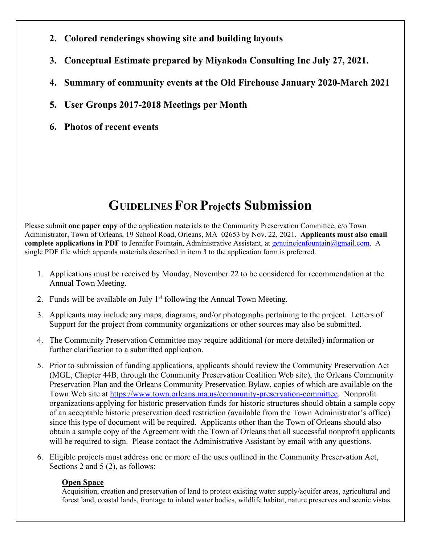- **2. Colored renderings showing site and building layouts**
- **3. Conceptual Estimate prepared by Miyakoda Consulting Inc July 27, 2021.**
- **4. Summary of community events at the Old Firehouse January 2020-March 2021**
- **5. User Groups 2017-2018 Meetings per Month**
- **6. Photos of recent events**

# **GUIDELINES FOR Projects Submission**

Please submit **one paper copy** of the application materials to the Community Preservation Committee, c/o Town Administrator, Town of Orleans, 19 School Road, Orleans, MA 02653 by Nov. 22, 2021. **Applicants must also email complete applications in PDF** to Jennifer Fountain, Administrative Assistant, at genuinejenfountain@gmail.com. A single PDF file which appends materials described in item 3 to the application form is preferred.

- 1. Applications must be received by Monday, November 22 to be considered for recommendation at the Annual Town Meeting.
- 2. Funds will be available on July  $1<sup>st</sup>$  following the Annual Town Meeting.
- 3. Applicants may include any maps, diagrams, and/or photographs pertaining to the project. Letters of Support for the project from community organizations or other sources may also be submitted.
- 4. The Community Preservation Committee may require additional (or more detailed) information or further clarification to a submitted application.
- 5. Prior to submission of funding applications, applicants should review the Community Preservation Act (MGL, Chapter 44B, through the Community Preservation Coalition Web site), the Orleans Community Preservation Plan and the Orleans Community Preservation Bylaw, copies of which are available on the Town Web site at https://www.town.orleans.ma.us/community-preservation-committee. Nonprofit organizations applying for historic preservation funds for historic structures should obtain a sample copy of an acceptable historic preservation deed restriction (available from the Town Administrator's office) since this type of document will be required. Applicants other than the Town of Orleans should also obtain a sample copy of the Agreement with the Town of Orleans that all successful nonprofit applicants will be required to sign. Please contact the Administrative Assistant by email with any questions.
- 6. Eligible projects must address one or more of the uses outlined in the Community Preservation Act, Sections 2 and 5 (2), as follows:

#### **Open Space**

Acquisition, creation and preservation of land to protect existing water supply/aquifer areas, agricultural and forest land, coastal lands, frontage to inland water bodies, wildlife habitat, nature preserves and scenic vistas.